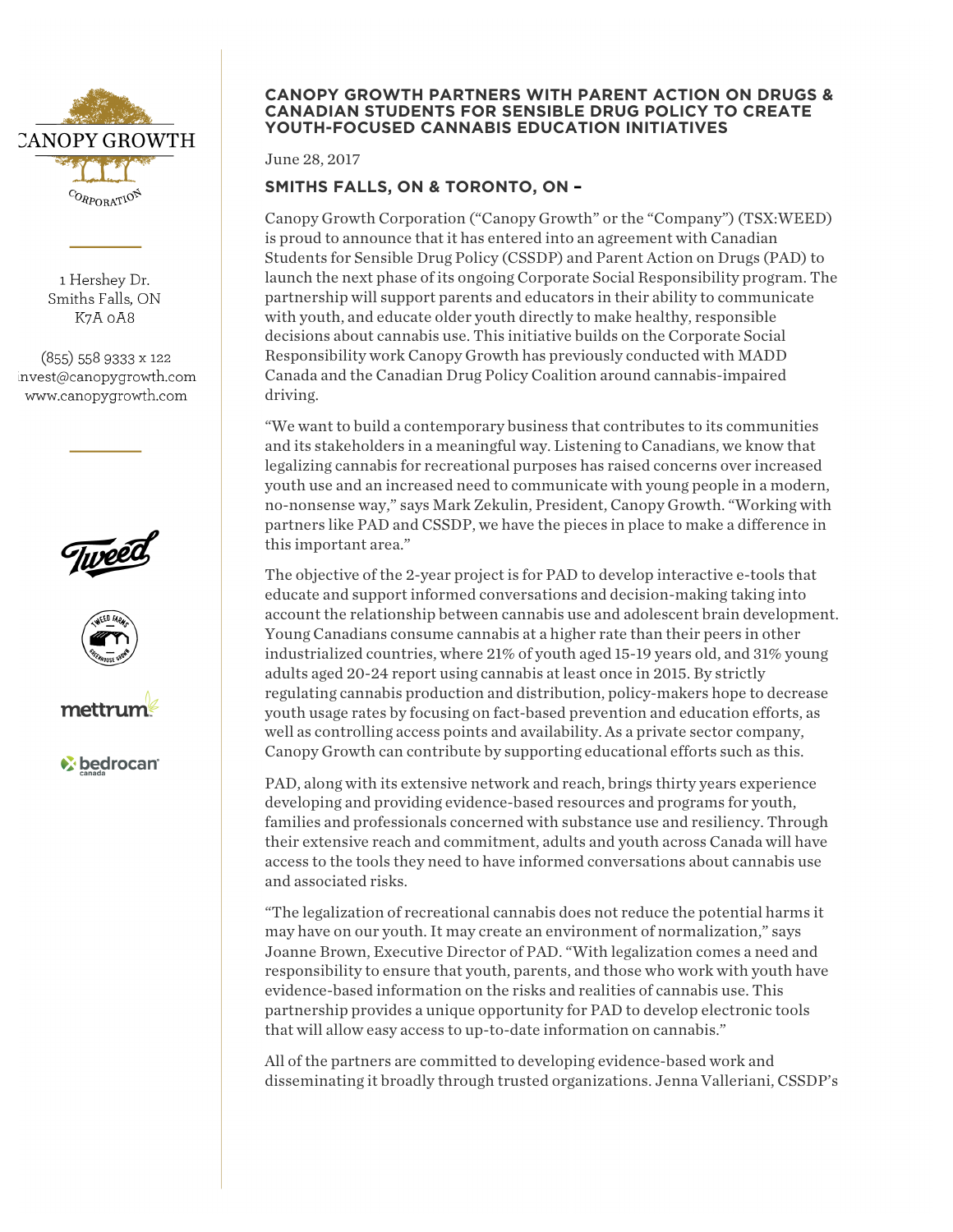

1 Hershey Dr. Smiths Falls, ON K7A 0A8

 $(855)$  558 9333 x 122 invest@canopygrowth.com www.canopygrowth.com







*C* bedrocan

#### **CANOPY GROWTH PARTNERS WITH PARENT ACTION ON DRUGS & CANADIAN STUDENTS FOR SENSIBLE DRUG POLICY TO CREATE YOUTH-FOCUSED CANNABIS EDUCATION INITIATIVES**

June 28, 2017

# **SMITHS FALLS, ON & TORONTO, ON –**

Canopy Growth Corporation ("Canopy Growth" or the "Company") (TSX:WEED) is proud to announce that it has entered into an agreement with Canadian Students for Sensible Drug Policy (CSSDP) and Parent Action on Drugs (PAD) to launch the next phase of its ongoing Corporate Social Responsibility program. The partnership will support parents and educators in their ability to communicate with youth, and educate older youth directly to make healthy, responsible decisions about cannabis use. This initiative builds on the Corporate Social Responsibility work Canopy Growth has previously conducted with MADD Canada and the Canadian Drug Policy Coalition around cannabis-impaired driving.

"We want to build a contemporary business that contributes to its communities and its stakeholders in a meaningful way. Listening to Canadians, we know that legalizing cannabis for recreational purposes has raised concerns over increased youth use and an increased need to communicate with young people in a modern, no-nonsense way," says Mark Zekulin, President, Canopy Growth. "Working with partners like PAD and CSSDP, we have the pieces in place to make a difference in this important area."

The objective of the 2-year project is for PAD to develop interactive e-tools that educate and support informed conversations and decision-making taking into account the relationship between cannabis use and adolescent brain development. Young Canadians consume cannabis at a higher rate than their peers in other industrialized countries, where 21% of youth aged 15-19 years old, and 31% young adults aged 20-24 report using cannabis at least once in 2015. By strictly regulating cannabis production and distribution, policy-makers hope to decrease youth usage rates by focusing on fact-based prevention and education efforts, as well as controlling access points and availability. As a private sector company, Canopy Growth can contribute by supporting educational efforts such as this.

PAD, along with its extensive network and reach, brings thirty years experience developing and providing evidence-based resources and programs for youth, families and professionals concerned with substance use and resiliency. Through their extensive reach and commitment, adults and youth across Canada will have access to the tools they need to have informed conversations about cannabis use and associated risks.

"The legalization of recreational cannabis does not reduce the potential harms it may have on our youth. It may create an environment of normalization," says Joanne Brown, Executive Director of PAD. "With legalization comes a need and responsibility to ensure that youth, parents, and those who work with youth have evidence-based information on the risks and realities of cannabis use. This partnership provides a unique opportunity for PAD to develop electronic tools that will allow easy access to up-to-date information on cannabis."

All of the partners are committed to developing evidence-based work and disseminating it broadly through trusted organizations. Jenna Valleriani, CSSDP's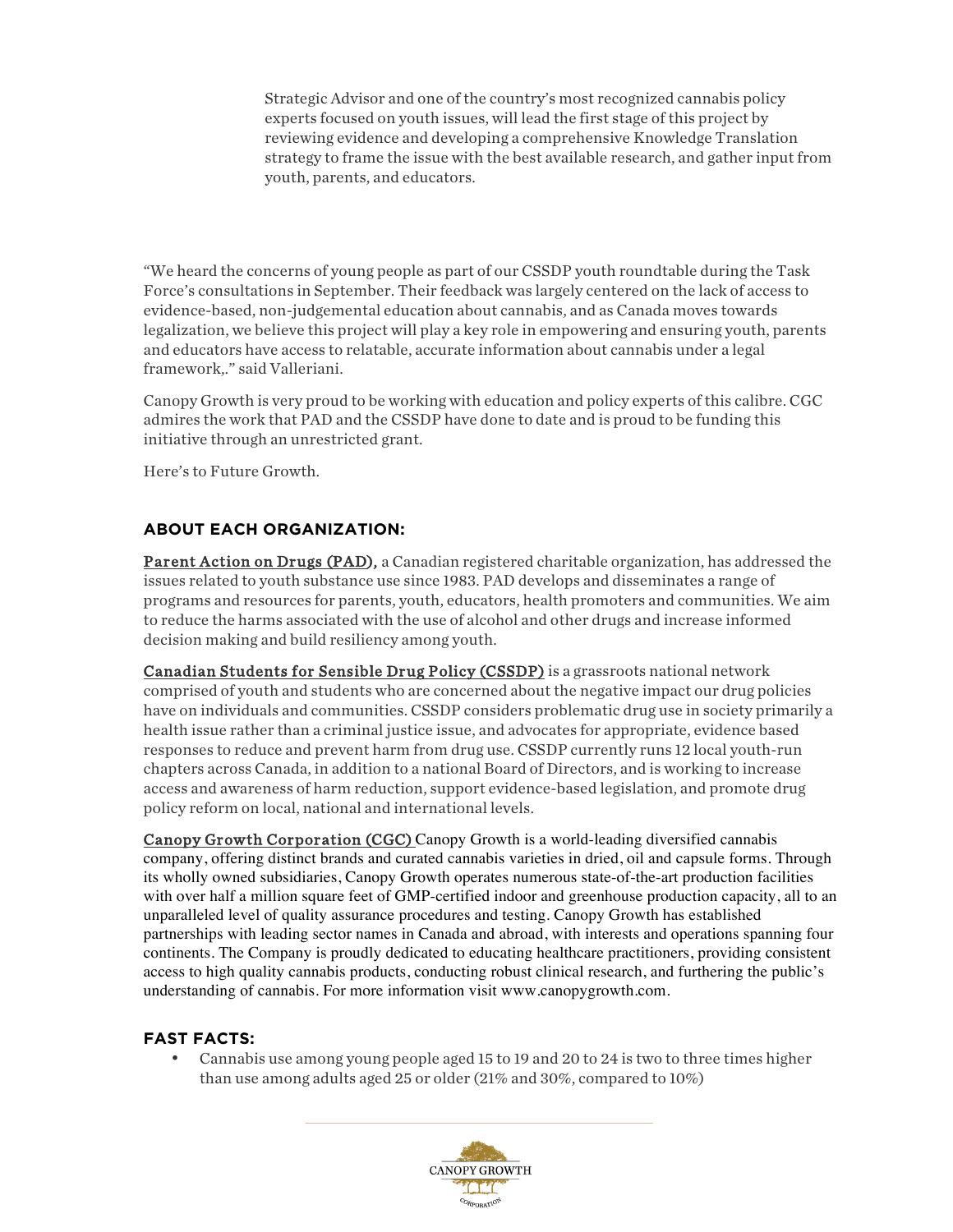Strategic Advisor and one of the country's most recognized cannabis policy experts focused on youth issues, will lead the first stage of this project by reviewing evidence and developing a comprehensive Knowledge Translation strategy to frame the issue with the best available research, and gather input from youth, parents, and educators.

"We heard the concerns of young people as part of our CSSDP youth roundtable during the Task Force's consultations in September. Their feedback was largely centered on the lack of access to evidence-based, non-judgemental education about cannabis, and as Canada moves towards legalization, we believe this project will play a key role in empowering and ensuring youth, parents and educators have access to relatable, accurate information about cannabis under a legal framework,." said Valleriani.

Canopy Growth is very proud to be working with education and policy experts of this calibre. CGC admires the work that PAD and the CSSDP have done to date and is proud to be funding this initiative through an unrestricted grant.

Here's to Future Growth.

## **ABOUT EACH ORGANIZATION:**

Parent Action on Drugs (PAD), a Canadian registered charitable organization, has addressed the issues related to youth substance use since 1983. PAD develops and disseminates a range of programs and resources for parents, youth, educators, health promoters and communities. We aim to reduce the harms associated with the use of alcohol and other drugs and increase informed decision making and build resiliency among youth.

Canadian Students for Sensible Drug Policy (CSSDP) is a grassroots national network comprised of youth and students who are concerned about the negative impact our drug policies have on individuals and communities. CSSDP considers problematic drug use in society primarily a health issue rather than a criminal justice issue, and advocates for appropriate, evidence based responses to reduce and prevent harm from drug use. CSSDP currently runs 12 local youth-run chapters across Canada, in addition to a national Board of Directors, and is working to increase access and awareness of harm reduction, support evidence-based legislation, and promote drug policy reform on local, national and international levels.

Canopy Growth Corporation (CGC) Canopy Growth is a world-leading diversified cannabis company, offering distinct brands and curated cannabis varieties in dried, oil and capsule forms. Through its wholly owned subsidiaries, Canopy Growth operates numerous state-of-the-art production facilities with over half a million square feet of GMP-certified indoor and greenhouse production capacity, all to an unparalleled level of quality assurance procedures and testing. Canopy Growth has established partnerships with leading sector names in Canada and abroad, with interests and operations spanning four continents. The Company is proudly dedicated to educating healthcare practitioners, providing consistent access to high quality cannabis products, conducting robust clinical research, and furthering the public's understanding of cannabis. For more information visit www.canopygrowth.com.

## **FAST FACTS:**

• Cannabis use among young people aged 15 to 19 and 20 to 24 is two to three times higher than use among adults aged 25 or older (21% and 30%, compared to 10%)